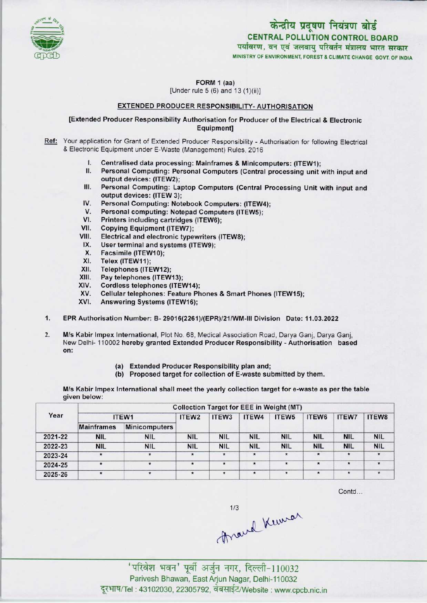

केन्द्रीय प्रदूषण नियंत्रण बोर्ड CENTRAL POLLUTION CONTROL BOARD पर्यावरण, वन एवं जलवायु परिवर्तन मंत्रालय भारत सरकार MINISTRY OF ENVIRONMENT, FOREST & CLIMATE CHANGE GOVT. OF INDIA

FORM 1 (aa) [Under rule 5 (6) and 13 (1)(ii)]

## EXTENDED PRODUCER RESPONSIBILITY-AUTHORISATION

[Extended Producer Responsibility Authorisation for Producer of the Electrical & Electronic Equipment]

- Ref: Your application for Grant of Extended Producer Responsibility Authorisation for following Electrical & Electronic Equipment under E-Waste (Management) Rules, 2016
	- I. Centralised data processing: Mainframes & Minicomputers: (ITEW1);<br>II. Personal Computing: Personal Computers (Central processing unit)
	- Personal Computing: Personal Computers (Central processing unit with input and output devices: (ITEW2);
	- III. Personal Computing: Laptop Computers (Central Processing Unit with input and output devices: (ITEW 3);
	- IV. Personal Computing: Notebook Computers: (ITEW4);<br>V. Personal computing: Notepad Computers (ITEW5):
	- V. Personal Computing: Notebook Computers: (ITEW<br>V. Personal computing: Notebook Computers (ITEW5);<br>V. Printers including contriduce (ITEW6); IV. Personal Computing: Notebook Comp<br>V. Personal computing: Notepad Compu<br>VI. Printers including cartridges (ITEW6);<br>/II. Conving Equipment (ITEW7)
	- VI. Printers including cartridges (ITEW6);<br>VII. Copying Equipment (ITEW7);<br>VIII. Electrical and electronic typewriters (I
	-
	- VIII. Electrical and electronic typewriters (ITEW8);<br>IX. User terminal and systems (ITEW9);<br>X. Esseimile (ITEW40);
	- IX. User terminal and systems (ITEW9);<br>X. Facsimile (ITEW10);<br>XI. Telex (ITEW11);
	-
	-
	- XI. Telex (ITEW11);<br>XII. Telephones (ITE
	- XII. Telephones (ITEW12);<br>XIII. Pay telephones (ITEW
	- XIII. Pay telephones (ITEW13);<br>XIV. Cordless telephones (ITE) XIV. Cordless telephones (ITEW14);<br>XV. Cellular telephones: Feature Ph
	- XV. Cellular telephones: Feature Phones & Smart Phones (ITEW15);<br>XVI. Answering Systems (ITEW16);
	- Answering Systems (ITEW16);
- 1.EPR Authorisation Number: B- 29016(2261 )/(EPR)/21/WM-llI Division Date: 11.03.2022
- 2. M/s Kabir Impex International, Plot No. 68, Medical Association Road, Darya Ganj, Darya Ganj, New Delhi-110002 hereby granted Extended ProducerResponsibility - Authorisation based on:
	- (a) Extended Producer Responsibility plan and;
	- (b) Proposed target for collection of E-waste submitted by them.

M/s Kabir Impex International shall meet the yearly collection target for e-waste as per the table given below:

| Year    | <b>Collection Target for EEE in Weight (MT)</b> |                      |            |            |                   |            |              |              |            |  |
|---------|-------------------------------------------------|----------------------|------------|------------|-------------------|------------|--------------|--------------|------------|--|
|         | ITEW1                                           | ITEW <sub>2</sub>    | ITEW3      | ITEW4      | ITEW <sub>5</sub> | ITEW6      | <b>ITEW7</b> | ITEW8        |            |  |
|         | <b>Mainframes</b>                               | <b>Minicomputers</b> |            |            |                   |            |              |              |            |  |
| 2021-22 | <b>NIL</b>                                      | <b>NIL</b>           | <b>NIL</b> | <b>NIL</b> | <b>NIL</b>        | <b>NIL</b> | <b>NIL</b>   | <b>NIL</b>   | <b>NIL</b> |  |
| 2022-23 | <b>NIL</b>                                      | <b>NIL</b>           | <b>NIL</b> | <b>NIL</b> | <b>NIL</b>        | <b>NIL</b> | <b>NIL</b>   | <b>NIL</b>   | <b>NIL</b> |  |
| 2023-24 |                                                 |                      | 大          | $\star$    | $\star$           | $\star$    | $\star$      | $\pmb{\ast}$ | $\star$    |  |
| 2024-25 | $\star$                                         | $\star$              | $\star$    | $\bullet$  | $\star$           | $\star$    | $\star$      | $\star$      | $\star$    |  |
| 2025-26 |                                                 | $\star$              | $\star$    | $\star$    |                   | $\star$    | $\star$      | $\star$      | $\star$    |  |

Contd...

, .^. .... M10032

Parivesh Bhawan, East Arjun Nagar, Delhi-110032 दूरभाष/Tel: 43102030, 22305792, वेबसाईट/Website : www.cpcb.nic.in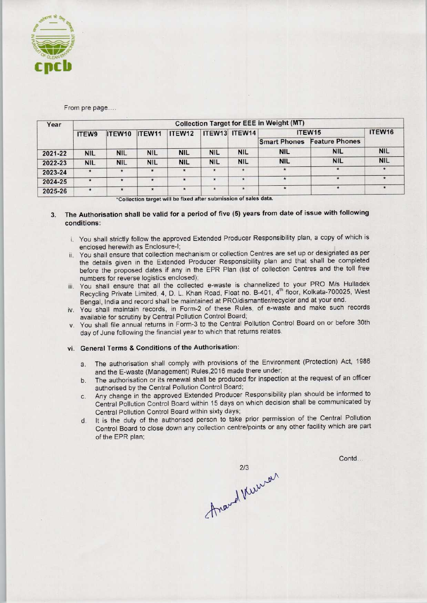

### From pre page....

| Year    | <b>Collection Target for EEE in Weight (MT)</b> |            |            |            |            |               |                     |                       |            |  |
|---------|-------------------------------------------------|------------|------------|------------|------------|---------------|---------------------|-----------------------|------------|--|
|         | ITEW9                                           | ITEW10     | ITEW11     | ITEW12     |            | ITEW13 ITEW14 | ITEW15              | ITEW16                |            |  |
|         |                                                 |            |            |            |            |               | <b>Smart Phones</b> | <b>Feature Phones</b> |            |  |
| 2021-22 | <b>NIL</b>                                      | <b>NIL</b> | <b>NIL</b> | <b>NIL</b> | <b>NIL</b> | <b>NIL</b>    | <b>NIL</b>          | <b>NIL</b>            | <b>NIL</b> |  |
| 2022-23 | <b>NIL</b>                                      | <b>NIL</b> | <b>NIL</b> | <b>NIL</b> | <b>NIL</b> | <b>NIL</b>    | <b>NIL</b>          | <b>NIL</b>            | <b>NIL</b> |  |
| 2023-24 | $\star$                                         | $\star$    | $\star$    | $\star$    | $\star$    | $\star$       |                     |                       |            |  |
| 2024-25 | $\cdot$                                         |            | $\star$    | $\star$    | $\star$    | $\star$       | $\star$             |                       |            |  |
| 2025-26 | $\star$                                         | $\star$    | $\star$    | $\star$    | $\star$    | $\star$       | $\star$             | $\star$               |            |  |

\*Collection target will be fixed after submission of sales data.

# 3. The Authorisation shall be valid for a period of five (5) years from date of issue with following conditions:

- i. You shall strictly follow the approved Extended Producer Responsibility plan, a copy of which is enclosed herewith as Enclosure-I;
- ii. You shall ensure that collection mechanism or collection Centres are set up or designated as per the details given in the Extended Producer Responsibility plan and that shall be completed before the proposed dates if any in the EPR Plan (list of collection Centres and the toll free numbers for reverse logistics enclosed);
- iii. You shall ensure that all the collected e-waste is channelized to your PRO M/s Hulladek Recycling Private Limited, 4, D. L. Khan Road, Float no. B-401, 4<sup>th</sup> floor, Kolkata-700025, West Bengal, India and record shall be maintained at PRO/dismantler/recycler and at your end.
- iv. You shall maintain records, in Form-2 of these Rules, of e-waste and make such records available for scrutiny by Central Pollution Control Board;
- v. You shall file annual returns in Form-3 to the Central Pollution Control Board on or before 30th day of June following the financial year to which that returns relates.

#### vi. General Terms & Conditions of the Authorisation:

- a. The authorisation shall comply with provisions of the Environment (Protection) Act, 1986 and the E-waste (Management) Rules,2016 made there under;
- b.The authorisation or its renewal shall be produced for inspection at the request of an officer authorised by the Central Pollution Control Board;
- c.Any change in the approved Extended Producer Responsibility plan should be informed to Central Pollution Control Board within 15 days on which decision shall be communicated by Central Pollution Control Board within sixty days;
- d. It is the duty of the authorised person to take prior permission of the Central Pollution Control Board to close down any collection centre/points or any other facility which are part of the EPR plan;

Contd...

thranch kircure